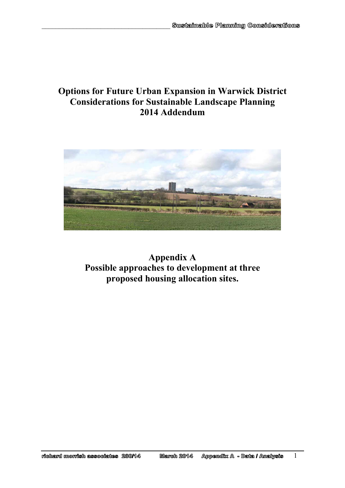# **Options for Future Urban Expansion in Warwick District Considerations for Sustainable Landscape Planning 2014 Addendum**

 $\mathcal{L}_\text{max}$ 



**Appendix A Possible approaches to development at three proposed housing allocation sites.** 

Appondix A - Data / Analysis richard morrish associates 280/14 March 2014

1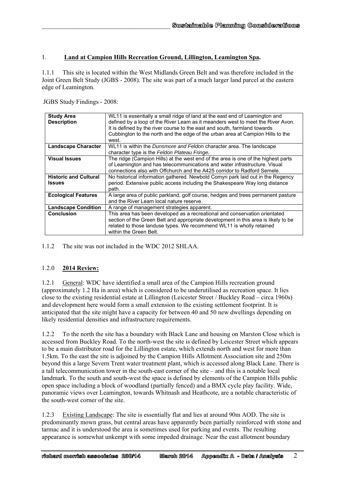### 1. **Land at Campion Hills Recreation Ground, Lillington, Leamington Spa.**

1.1.1 This site is located within the West Midlands Green Belt and was therefore included in the Joint Green Belt Study (JGBS - 2008). The site was part of a much larger land parcel at the eastern edge of Leamington.

JGBS Study Findings - 2008:

 $\mathcal{L}_\text{max}$ 

| <b>Study Area</b><br><b>Description</b>       | WL11 is essentially a small ridge of land at the east end of Leamington and<br>defined by a loop of the River Leam as it meanders west to meet the River Avon.<br>It is defined by the river course to the east and south, farmland towards<br>Cubbington to the north and the edge of the urban area at Campion Hills to the<br>west. |
|-----------------------------------------------|----------------------------------------------------------------------------------------------------------------------------------------------------------------------------------------------------------------------------------------------------------------------------------------------------------------------------------------|
| <b>Landscape Character</b>                    | WL11 is within the <i>Dunsmore and Feldon</i> character area. The landscape<br>character type is the Feldon Plateau Fringe.                                                                                                                                                                                                            |
| <b>Visual Issues</b>                          | The ridge (Campion Hills) at the west end of the area is one of the highest parts<br>of Leamington and has telecommunications and water infrastructure. Visual<br>connections also with Offchurch and the A425 corridor to Radford Semele.                                                                                             |
| <b>Historic and Cultural</b><br><b>Issues</b> | No historical information gathered. Newbold Comyn park laid out in the Regency<br>period. Extensive public access including the Shakespeare Way long distance<br>path.                                                                                                                                                                 |
| <b>Ecological Features</b>                    | A large area of public parkland, golf course, hedges and trees permanent pasture<br>and the River Leam local nature reserve.                                                                                                                                                                                                           |
| <b>Landscape Condition</b>                    | A range of management strategies apparent.                                                                                                                                                                                                                                                                                             |
| <b>Conclusion</b>                             | This area has been developed as a recreational and conservation orientated<br>section of the Green Belt and appropriate development in this area is likely to be<br>related to those landuse types. We recommend WL11 is wholly retained<br>within the Green Belt.                                                                     |

1.1.2 The site was not included in the WDC 2012 SHLAA.

#### 1.2.0 **2014 Review:**

1.2.1 General: WDC have identified a small area of the Campion Hills recreation ground (approximately 1.2 Ha in area) which is considered to be underutilised as recreation space. It lies close to the existing residential estate at Lillington (Leicester Street / Buckley Road – circa 1960s) and development here would form a small extension to the existing settlement footprint. It is anticipated that the site might have a capacity for between 40 and 50 new dwellings depending on likely residential densities and infrastructure requirements.

1.2.2 To the north the site has a boundary with Black Lane and housing on Marston Close which is accessed from Buckley Road. To the north-west the site is defined by Leicester Street which appears to be a main distributor road for the Lillington estate, which extends north and west for more than 1.5km. To the east the site is adjoined by the Campion Hills Allotment Association site and 250m beyond this a large Severn Trent water treatment plant, which is accessed along Black Lane. There is a tall telecommunication tower in the south-east corner of the site – and this is a notable local landmark. To the south and south-west the space is defined by elements of the Campion Hills public open space including a block of woodland (partially fenced) and a BMX cycle play facility. Wide, panoramic views over Leamington, towards Whitnash and Heathcote, are a notable characteristic of the south-west corner of the site.

1.2.3 Existing Landscape: The site is essentially flat and lies at around 90m AOD. The site is predominantly mown grass, but central areas have apparently been partially reinforced with stone and tarmac and it is understood the area is sometimes used for parking and events. The resulting appearance is somewhat unkempt with some impeded drainage. Near the east allotment boundary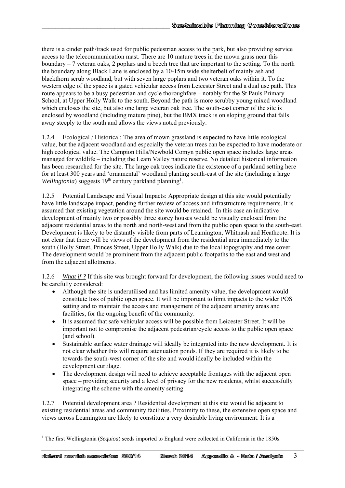there is a cinder path/track used for public pedestrian access to the park, but also providing service access to the telecommunication mast. There are 10 mature trees in the mown grass near this boundary – 7 veteran oaks, 2 poplars and a beech tree that are important to the setting. To the north the boundary along Black Lane is enclosed by a 10-15m wide shelterbelt of mainly ash and blackthorn scrub woodland, but with seven large poplars and two veteran oaks within it. To the western edge of the space is a gated vehicular access from Leicester Street and a dual use path. This route appears to be a busy pedestrian and cycle thoroughfare – notably for the St Pauls Primary School, at Upper Holly Walk to the south. Beyond the path is more scrubby young mixed woodland which encloses the site, but also one large veteran oak tree. The south-east corner of the site is enclosed by woodland (including mature pine), but the BMX track is on sloping ground that falls away steeply to the south and allows the views noted previously.

 $\mathcal{L}_\text{max}$ 

1.2.4 Ecological / Historical: The area of mown grassland is expected to have little ecological value, but the adjacent woodland and especially the veteran trees can be expected to have moderate or high ecological value. The Campion Hills/Newbold Comyn public open space includes large areas managed for wildlife – including the Leam Valley nature reserve. No detailed historical information has been researched for the site. The large oak trees indicate the existence of a parkland setting here for at least 300 years and 'ornamental' woodland planting south-east of the site (including a large Wellingtonia) suggests 19<sup>th</sup> century parkland planning<sup>1</sup>.

1.2.5 Potential Landscape and Visual Impacts: Appropriate design at this site would potentially have little landscape impact, pending further review of access and infrastructure requirements. It is assumed that existing vegetation around the site would be retained. In this case an indicative development of mainly two or possibly three storey houses would be visually enclosed from the adjacent residential areas to the north and north-west and from the public open space to the south-east. Development is likely to be distantly visible from parts of Leamington, Whitnash and Heathcote. It is not clear that there will be views of the development from the residential area immediately to the south (Holly Street, Princes Street, Upper Holly Walk) due to the local topography and tree cover. The development would be prominent from the adjacent public footpaths to the east and west and from the adjacent allotments.

1.2.6 *What if ?* If this site was brought forward for development, the following issues would need to be carefully considered:

- Although the site is underutilised and has limited amenity value, the development would constitute loss of public open space. It will be important to limit impacts to the wider POS setting and to maintain the access and management of the adjacent amenity areas and facilities, for the ongoing benefit of the community.
- It is assumed that safe vehicular access will be possible from Leicester Street. It will be important not to compromise the adjacent pedestrian/cycle access to the public open space (and school).
- Sustainable surface water drainage will ideally be integrated into the new development. It is not clear whether this will require attenuation ponds. If they are required it is likely to be towards the south-west corner of the site and would ideally be included within the development curtilage.
- The development design will need to achieve acceptable frontages with the adjacent open space – providing security and a level of privacy for the new residents, whilst successfully integrating the scheme with the amenity setting.

1.2.7 Potential development area ? Residential development at this site would lie adjacent to existing residential areas and community facilities. Proximity to these, the extensive open space and views across Leamington are likely to constitute a very desirable living environment. It is a

<sup>1</sup> <sup>1</sup> The first Wellingtonia (*Sequioa*) seeds imported to England were collected in California in the 1850s.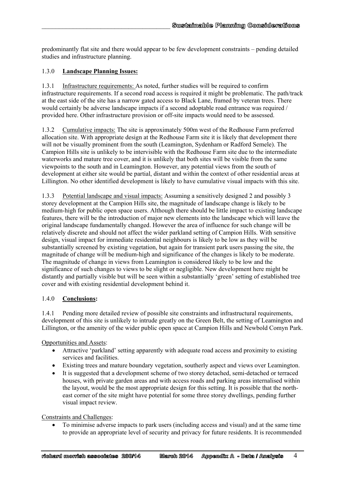predominantly flat site and there would appear to be few development constraints – pending detailed studies and infrastructure planning.

## 1.3.0 **Landscape Planning Issues:**

 $\mathcal{L}_\text{max}$ 

1.3.1 Infrastructure requirements: As noted, further studies will be required to confirm infrastructure requirements. If a second road access is required it might be problematic. The path/track at the east side of the site has a narrow gated access to Black Lane, framed by veteran trees. There would certainly be adverse landscape impacts if a second adoptable road entrance was required / provided here. Other infrastructure provision or off-site impacts would need to be assessed.

1.3.2 Cumulative impacts: The site is approximately 500m west of the Redhouse Farm preferred allocation site. With appropriate design at the Redhouse Farm site it is likely that development there will not be visually prominent from the south (Leamington, Sydenham or Radford Semele). The Campion Hills site is unlikely to be intervisible with the Redhouse Farm site due to the intermediate waterworks and mature tree cover, and it is unlikely that both sites will be visible from the same viewpoints to the south and in Leamington. However, any potential views from the south of development at either site would be partial, distant and within the context of other residential areas at Lillington. No other identified development is likely to have cumulative visual impacts with this site.

1.3.3 Potential landscape and visual impacts: Assuming a sensitively designed 2 and possibly 3 storey development at the Campion Hills site, the magnitude of landscape change is likely to be medium-high for public open space users. Although there should be little impact to existing landscape features, there will be the introduction of major new elements into the landscape which will leave the original landscape fundamentally changed. However the area of influence for such change will be relatively discrete and should not affect the wider parkland setting of Campion Hills. With sensitive design, visual impact for immediate residential neighbours is likely to be low as they will be substantially screened by existing vegetation, but again for transient park users passing the site, the magnitude of change will be medium-high and significance of the changes is likely to be moderate. The magnitude of change in views from Leamington is considered likely to be low and the significance of such changes to views to be slight or negligible. New development here might be distantly and partially visible but will be seen within a substantially 'green' setting of established tree cover and with existing residential development behind it.

#### 1.4.0 **Conclusions:**

1.4.1 Pending more detailed review of possible site constraints and infrastructural requirements, development of this site is unlikely to intrude greatly on the Green Belt, the setting of Leamington and Lillington, or the amenity of the wider public open space at Campion Hills and Newbold Comyn Park.

Opportunities and Assets:

- Attractive 'parkland' setting apparently with adequate road access and proximity to existing services and facilities.
- Existing trees and mature boundary vegetation, southerly aspect and views over Leamington.
- It is suggested that a development scheme of two storey detached, semi-detached or terraced houses, with private garden areas and with access roads and parking areas internalised within the layout, would be the most appropriate design for this setting. It is possible that the northeast corner of the site might have potential for some three storey dwellings, pending further visual impact review.

Constraints and Challenges:

 To minimise adverse impacts to park users (including access and visual) and at the same time to provide an appropriate level of security and privacy for future residents. It is recommended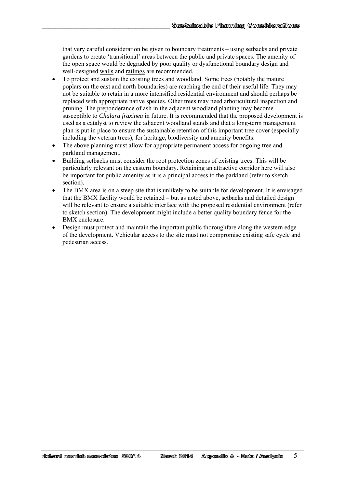that very careful consideration be given to boundary treatments – using setbacks and private gardens to create 'transitional' areas between the public and private spaces. The amenity of the open space would be degraded by poor quality or dysfunctional boundary design and well-designed walls and railings are recommended.

 $\mathcal{L}_\text{max}$ 

- To protect and sustain the existing trees and woodland. Some trees (notably the mature poplars on the east and north boundaries) are reaching the end of their useful life. They may not be suitable to retain in a more intensified residential environment and should perhaps be replaced with appropriate native species. Other trees may need arboricultural inspection and pruning. The preponderance of ash in the adjacent woodland planting may become susceptible to *Chalara fraxinea* in future. It is recommended that the proposed development is used as a catalyst to review the adjacent woodland stands and that a long-term management plan is put in place to ensure the sustainable retention of this important tree cover (especially including the veteran trees), for heritage, biodiversity and amenity benefits.
- The above planning must allow for appropriate permanent access for ongoing tree and parkland management.
- Building setbacks must consider the root protection zones of existing trees. This will be particularly relevant on the eastern boundary. Retaining an attractive corridor here will also be important for public amenity as it is a principal access to the parkland (refer to sketch section).
- The BMX area is on a steep site that is unlikely to be suitable for development. It is envisaged that the BMX facility would be retained – but as noted above, setbacks and detailed design will be relevant to ensure a suitable interface with the proposed residential environment (refer to sketch section). The development might include a better quality boundary fence for the BMX enclosure.
- Design must protect and maintain the important public thoroughfare along the western edge of the development. Vehicular access to the site must not compromise existing safe cycle and pedestrian access.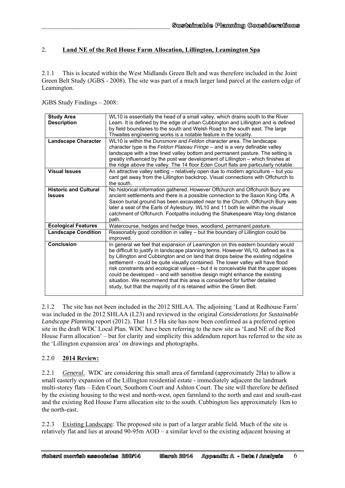# 2. **Land NE of the Red House Farm Allocation, Lillington, Leamington Spa**

2.1.1 This is located within the West Midlands Green Belt and was therefore included in the Joint Green Belt Study (JGBS - 2008). The site was part of a much larger land parcel at the eastern edge of Leamington.

JGBS Study Findings – 2008:

 $\mathcal{L}_\text{max}$ 

| <b>Study Area</b><br><b>Description</b>       | WL10 is essentially the head of a small valley, which drains south to the River<br>Leam. It is defined by the edge of urban Cubbington and Lillington and is defined<br>by field boundaries to the south and Welsh Road to the south east. The large                                                                                                                                                                                                                                                                                                                                                                                                                     |
|-----------------------------------------------|--------------------------------------------------------------------------------------------------------------------------------------------------------------------------------------------------------------------------------------------------------------------------------------------------------------------------------------------------------------------------------------------------------------------------------------------------------------------------------------------------------------------------------------------------------------------------------------------------------------------------------------------------------------------------|
|                                               | Thwaites engineering works is a notable feature in the locality.                                                                                                                                                                                                                                                                                                                                                                                                                                                                                                                                                                                                         |
| <b>Landscape Character</b>                    | WL10 is within the Dunsmore and Feldon character area. The landscape<br>character type is the Feldon Plateau Fringe – and is a very definable valley<br>landscape with a tree lined valley bottom and permanent pasture. The setting is<br>greatly influenced by the post war development of Lillington - which finishes at<br>the ridge above the valley. The 14 floor Eden Court flats are particularly notable.                                                                                                                                                                                                                                                       |
| <b>Visual Issues</b>                          | An attractive valley setting - relatively open due to modern agriculture - but you<br>cant get away from the Lillington backdrop. Visual connections with Offchurch to<br>the south.                                                                                                                                                                                                                                                                                                                                                                                                                                                                                     |
| <b>Historic and Cultural</b><br><b>Issues</b> | No historical information gathered. However Offchurch and Offchurch Bury are<br>ancient settlements and there is a possible connection to the Saxon King Offa. A                                                                                                                                                                                                                                                                                                                                                                                                                                                                                                         |
|                                               | Saxon burial ground has been excavated near to the Church. Offchurch Bury was<br>later a seat of the Earls of Aylesbury. WL10 and 11 both lie within the visual<br>catchment of Offchurch. Footpaths including the Shakespeare Way long distance<br>path.                                                                                                                                                                                                                                                                                                                                                                                                                |
| <b>Ecological Features</b>                    | Watercourse, hedges and hedge trees, woodland, permanent pasture.                                                                                                                                                                                                                                                                                                                                                                                                                                                                                                                                                                                                        |
| <b>Landscape Condition</b>                    | Reasonably good condition in valley - but the boundary of Lillington could be<br>improved.                                                                                                                                                                                                                                                                                                                                                                                                                                                                                                                                                                               |
| <b>Conclusion</b>                             | In general we feel that expansion of Leamington on this eastern boundary would<br>be difficult to justify in landscape planning terms. However WL10, defined as it is<br>by Lillington and Cubbington and on land that drops below the existing ridgeline<br>settlement - could be quite visually contained. The lower valley will have flood<br>risk constraints and ecological values - but it is conceivable that the upper slopes<br>could be developed – and with sensitive design might enhance the existing<br>situation. We recommend that this area is considered for further detailed<br>study, but that the majority of it is retained within the Green Belt. |

2.1.2 The site has not been included in the 2012 SHLAA. The adjoining 'Land at Redhouse Farm' was included in the 2012 SHLAA (L23) and reviewed in the original *Considerations for Sustainable Landscape Planning* report (2012). That 11.5 Ha site has now been confirmed as a preferred option site in the draft WDC Local Plan. WDC have been referring to the new site as 'Land NE of the Red House Farm allocation' – but for clarity and simplicity this addendum report has referred to the site as the 'Lillington expansion area' on drawings and photographs.

#### 2.2.0 **2014 Review:**

2.2.1 *General*. WDC are considering this small area of farmland (approximately 2Ha) to allow a small easterly expansion of the Lillington residential estate - immediately adjacent the landmark multi-storey flats – Eden Court, Southorn Court and Ashton Court. The site will therefore be defined by the existing housing to the west and north-west, open farmland to the north and east and south-east and the existing Red House Farm allocation site to the south. Cubbington lies approximately 1km to the north-east.

2.2.3 Existing Landscape: The proposed site is part of a larger arable field. Much of the site is relatively flat and lies at around 90-95m AOD – a similar level to the existing adjacent housing at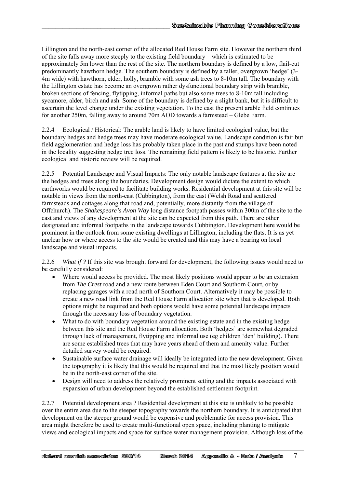Lillington and the north-east corner of the allocated Red House Farm site. However the northern third of the site falls away more steeply to the existing field boundary – which is estimated to be approximately 5m lower than the rest of the site. The northern boundary is defined by a low, flail-cut predominantly hawthorn hedge. The southern boundary is defined by a taller, overgrown 'hedge' (3- 4m wide) with hawthorn, elder, holly, bramble with some ash trees to 8-10m tall. The boundary with the Lillington estate has become an overgrown rather dysfunctional boundary strip with bramble, broken sections of fencing, flytipping, informal paths but also some trees to 8-10m tall including sycamore, alder, birch and ash. Some of the boundary is defined by a slight bank, but it is difficult to ascertain the level change under the existing vegetation. To the east the present arable field continues for another 250m, falling away to around 70m AOD towards a farmstead – Glebe Farm.

 $\mathcal{L}_\text{max}$ 

2.2.4 Ecological / Historical: The arable land is likely to have limited ecological value, but the boundary hedges and hedge trees may have moderate ecological value. Landscape condition is fair but field agglomeration and hedge loss has probably taken place in the past and stumps have been noted in the locality suggesting hedge tree loss. The remaining field pattern is likely to be historic. Further ecological and historic review will be required.

2.2.5 Potential Landscape and Visual Impacts: The only notable landscape features at the site are the hedges and trees along the boundaries. Development design would dictate the extent to which earthworks would be required to facilitate building works. Residential development at this site will be notable in views from the north-east (Cubbington), from the east (Welsh Road and scattered farmsteads and cottages along that road and, potentially, more distantly from the village of Offchurch). The *Shakespeare's Avon Way* long distance footpath passes within 300m of the site to the east and views of any development at the site can be expected from this path. There are other designated and informal footpaths in the landscape towards Cubbington. Development here would be prominent in the outlook from some existing dwellings at Lillington, including the flats. It is as yet unclear how or where access to the site would be created and this may have a bearing on local landscape and visual impacts.

2.2.6 *What if ?* If this site was brought forward for development, the following issues would need to be carefully considered:

- Where would access be provided. The most likely positions would appear to be an extension from *The Crest* road and a new route between Eden Court and Southorn Court, or by replacing garages with a road north of Southorn Court. Alternatively it may be possible to create a new road link from the Red House Farm allocation site when that is developed. Both options might be required and both options would have some potential landscape impacts through the necessary loss of boundary vegetation.
- What to do with boundary vegetation around the existing estate and in the existing hedge between this site and the Red House Farm allocation. Both 'hedges' are somewhat degraded through lack of management, flytipping and informal use (eg children 'den' building). There are some established trees that may have years ahead of them and amenity value. Further detailed survey would be required.
- Sustainable surface water drainage will ideally be integrated into the new development. Given the topography it is likely that this would be required and that the most likely position would be in the north-east corner of the site.
- Design will need to address the relatively prominent setting and the impacts associated with expansion of urban development beyond the established settlement footprint.

2.2.7 Potential development area ? Residential development at this site is unlikely to be possible over the entire area due to the steeper topography towards the northern boundary. It is anticipated that development on the steeper ground would be expensive and problematic for access provision. This area might therefore be used to create multi-functional open space, including planting to mitigate views and ecological impacts and space for surface water management provision. Although loss of the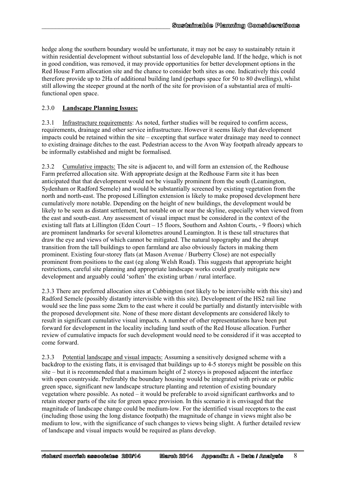hedge along the southern boundary would be unfortunate, it may not be easy to sustainably retain it within residential development without substantial loss of developable land. If the hedge, which is not in good condition, was removed, it may provide opportunities for better development options in the Red House Farm allocation site and the chance to consider both sites as one. Indicatively this could therefore provide up to 2Ha of additional building land (perhaps space for 50 to 80 dwellings), whilst still allowing the steeper ground at the north of the site for provision of a substantial area of multifunctional open space.

#### 2.3.0 **Landscape Planning Issues:**

 $\mathcal{L}_\text{max}$ 

2.3.1 Infrastructure requirements: As noted, further studies will be required to confirm access, requirements, drainage and other service infrastructure. However it seems likely that development impacts could be retained within the site – excepting that surface water drainage may need to connect to existing drainage ditches to the east. Pedestrian access to the Avon Way footpath already appears to be informally established and might be formalised.

2.3.2 Cumulative impacts: The site is adjacent to, and will form an extension of, the Redhouse Farm preferred allocation site. With appropriate design at the Redhouse Farm site it has been anticipated that that development would not be visually prominent from the south (Leamington, Sydenham or Radford Semele) and would be substantially screened by existing vegetation from the north and north-east. The proposed Lillington extension is likely to make proposed development here cumulatively more notable. Depending on the height of new buildings, the development would be likely to be seen as distant settlement, but notable on or near the skyline, especially when viewed from the east and south-east. Any assessment of visual impact must be considered in the context of the existing tall flats at Lillington (Eden Court – 15 floors, Southorn and Ashton Courts, - 9 floors) which are prominent landmarks for several kilometres around Leamington. It is these tall structures that draw the eye and views of which cannot be mitigated. The natural topography and the abrupt transition from the tall buildings to open farmland are also obviously factors in making them prominent. Existing four-storey flats (at Mason Avenue / Burberry Close) are not especially prominent from positions to the east (eg along Welsh Road). This suggests that appropriate height restrictions, careful site planning and appropriate landscape works could greatly mitigate new development and arguably could 'soften' the existing urban / rural interface.

2.3.3 There are preferred allocation sites at Cubbington (not likely to be intervisible with this site) and Radford Semele (possibly distantly intervisible with this site). Development of the HS2 rail line would see the line pass some 2km to the east where it could be partially and distantly intervisible with the proposed development site. None of these more distant developments are considered likely to result in significant cumulative visual impacts. A number of other representations have been put forward for development in the locality including land south of the Red House allocation. Further review of cumulative impacts for such development would need to be considered if it was accepted to come forward.

2.3.3 Potential landscape and visual impacts: Assuming a sensitively designed scheme with a backdrop to the existing flats, it is envisaged that buildings up to 4-5 storeys might be possible on this site – but it is recommended that a maximum height of 2 storeys is proposed adjacent the interface with open countryside. Preferably the boundary housing would be integrated with private or public green space, significant new landscape structure planting and retention of existing boundary vegetation where possible. As noted – it would be preferable to avoid significant earthworks and to retain steeper parts of the site for green space provision. In this scenario it is envisaged that the magnitude of landscape change could be medium-low. For the identified visual receptors to the east (including those using the long distance footpath) the magnitude of change in views might also be medium to low, with the significance of such changes to views being slight. A further detailed review of landscape and visual impacts would be required as plans develop.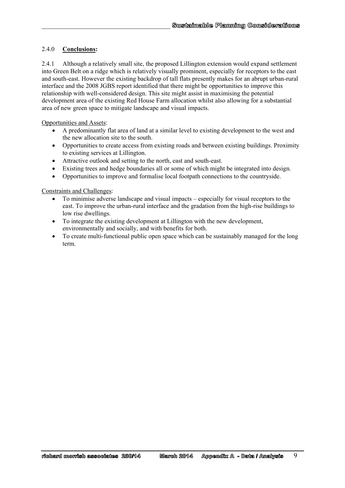#### 2.4.0 **Conclusions:**

 $\mathcal{L}_\text{max}$ 

2.4.1 Although a relatively small site, the proposed Lillington extension would expand settlement into Green Belt on a ridge which is relatively visually prominent, especially for receptors to the east and south-east. However the existing backdrop of tall flats presently makes for an abrupt urban-rural interface and the 2008 JGBS report identified that there might be opportunities to improve this relationship with well-considered design. This site might assist in maximising the potential development area of the existing Red House Farm allocation whilst also allowing for a substantial area of new green space to mitigate landscape and visual impacts.

Opportunities and Assets:

- A predominantly flat area of land at a similar level to existing development to the west and the new allocation site to the south.
- Opportunities to create access from existing roads and between existing buildings. Proximity to existing services at Lillington.
- Attractive outlook and setting to the north, east and south-east.
- Existing trees and hedge boundaries all or some of which might be integrated into design.
- Opportunities to improve and formalise local footpath connections to the countryside.

Constraints and Challenges:

- To minimise adverse landscape and visual impacts especially for visual receptors to the east. To improve the urban-rural interface and the gradation from the high-rise buildings to low rise dwellings.
- To integrate the existing development at Lillington with the new development, environmentally and socially, and with benefits for both.
- To create multi-functional public open space which can be sustainably managed for the long term.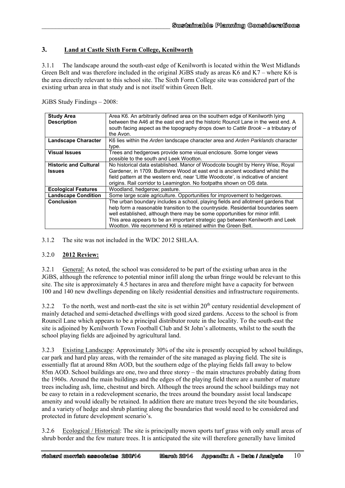## **3. Land at Castle Sixth Form College, Kenilworth**

 $\mathcal{L}_\text{max}$ 

3.1.1 The landscape around the south-east edge of Kenilworth is located within the West Midlands Green Belt and was therefore included in the original JGBS study as areas K6 and K7 – where K6 is the area directly relevant to this school site. The Sixth Form College site was considered part of the existing urban area in that study and is not itself within Green Belt.

JGBS Study Findings – 2008:

| <b>Study Area</b>            | Area K6. An arbitrarily defined area on the southern edge of Kenilworth lying      |
|------------------------------|------------------------------------------------------------------------------------|
| <b>Description</b>           | between the A46 at the east end and the historic Rouncil Lane in the west end. A   |
|                              | south facing aspect as the topography drops down to Cattle Brook – a tributary of  |
|                              | the Avon.                                                                          |
| <b>Landscape Character</b>   | K6 lies within the Arden landscape character area and Arden Parklands character    |
|                              | type.                                                                              |
| <b>Visual Issues</b>         | Trees and hedgerows provide some visual enclosure. Some longer views               |
|                              | possible to the south and Leek Wootton.                                            |
| <b>Historic and Cultural</b> | No historical data established. Manor of Woodcote bought by Henry Wise, Royal      |
| <b>Issues</b>                | Gardener, in 1709. Bullimore Wood at east end is ancient woodland whilst the       |
|                              | field pattern at the western end, near 'Little Woodcote', is indicative of ancient |
|                              | origins. Rail corridor to Leamington. No footpaths shown on OS data.               |
| <b>Ecological Features</b>   | Woodland, hedgerow; pasture.                                                       |
| <b>Landscape Condition</b>   | Some large scale agriculture. Opportunities for improvement to hedgerows.          |
| <b>Conclusion</b>            | The urban boundary includes a school, playing fields and allotment gardens that    |
|                              | help form a reasonable transition to the countryside. Residential boundaries seem  |
|                              | well established, although there may be some opportunities for minor infill.       |
|                              | This area appears to be an important strategic gap between Kenilworth and Leek     |
|                              | Wootton. We recommend K6 is retained within the Green Belt.                        |

3.1.2 The site was not included in the WDC 2012 SHLAA.

#### 3.2.0 **2012 Review:**

3.2.1 General: As noted, the school was considered to be part of the existing urban area in the JGBS, although the reference to potential minor infill along the urban fringe would be relevant to this site. The site is approximately 4.5 hectares in area and therefore might have a capacity for between 100 and 140 new dwellings depending on likely residential densities and infrastructure requirements.

3.2.2 To the north, west and north-east the site is set within 20<sup>th</sup> century residential development of mainly detached and semi-detached dwellings with good sized gardens. Access to the school is from Rouncil Lane which appears to be a principal distributor route in the locality. To the south-east the site is adjoined by Kenilworth Town Football Club and St John's allotments, whilst to the south the school playing fields are adjoined by agricultural land.

3.2.3 Existing Landscape: Approximately 30% of the site is presently occupied by school buildings, car park and hard play areas, with the remainder of the site managed as playing field. The site is essentially flat at around 88m AOD, but the southern edge of the playing fields fall away to below 85m AOD. School buildings are one, two and three storey – the main structures probably dating from the 1960s. Around the main buildings and the edges of the playing field there are a number of mature trees including ash, lime, chestnut and birch. Although the trees around the school buildings may not be easy to retain in a redevelopment scenario, the trees around the boundary assist local landscape amenity and would ideally be retained. In addition there are mature trees beyond the site boundaries, and a variety of hedge and shrub planting along the boundaries that would need to be considered and protected in future development scenario's.

3.2.6 Ecological / Historical: The site is principally mown sports turf grass with only small areas of shrub border and the few mature trees. It is anticipated the site will therefore generally have limited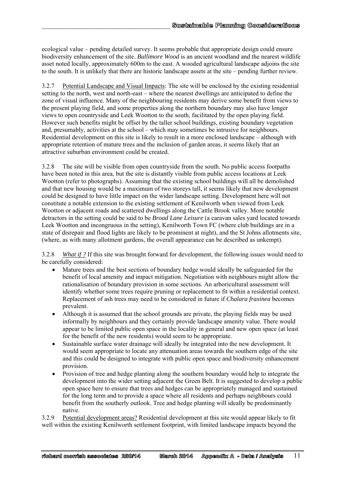ecological value – pending detailed survey. It seems probable that appropriate design could ensure biodiversity enhancement of the site. *Bullimore Wood* is an ancient woodland and the nearest wildlife asset noted locally, approximately 600m to the east. A wooded agricultural landscape adjoins the site to the south. It is unlikely that there are historic landscape assets at the site – pending further review.

 $\mathcal{L}_\text{max}$ 

3.2.7 Potential Landscape and Visual Impacts: The site will be enclosed by the existing residential setting to the north, west and north-east – where the nearest dwellings are anticipated to define the zone of visual influence. Many of the neighbouring residents may derive some benefit from views to the present playing field, and some properties along the northern boundary may also have longer views to open countryside and Leek Wootton to the south, facilitated by the open playing field. However such benefits might be offset by the taller school buildings, existing boundary vegetation and, presumably, activities at the school – which may sometimes be intrusive for neighbours. Residential development on this site is likely to result in a more enclosed landscape – although with appropriate retention of mature trees and the inclusion of garden areas, it seems likely that an attractive suburban environment could be created.

3.2.8 The site will be visible from open countryside from the south. No public access footpaths have been noted in this area, but the site is distantly visible from public access locations at Leek Wootton (refer to photographs). Assuming that the existing school buildings will all be demolished and that new housing would be a maximum of two storeys tall, it seems likely that new development could be designed to have little impact on the wider landscape setting. Development here will not constitute a notable extension to the existing settlement of Kenilworth when viewed from Leek Wootton or adjacent roads and scattered dwellings along the Cattle Brook valley. More notable detractors in the setting could be said to be *Broad Lane Leisure* (a caravan sales yard located towards Leek Wootton and incongruous in the setting), Kenilworth Town FC (where club buildings are in a state of disrepair and flood lights are likely to be prominent at night), and the St Johns allotments site, (where, as with many allotment gardens, the overall appearance can be described as unkempt).

3.2.8 *What if ?* If this site was brought forward for development, the following issues would need to be carefully considered:

- Mature trees and the best sections of boundary hedge would ideally be safeguarded for the benefit of local amenity and impact mitigation. Negotiation with neighbours might allow the rationalisation of boundary provision in some sections. An arboricultural assessment will identify whether some trees require pruning or replacement to fit within a residential context. Replacement of ash trees may need to be considered in future if *Chalara fraxinea* becomes prevalent.
- Although it is assumed that the school grounds are private, the playing fields may be used informally by neighbours and they certainly provide landscape amenity value. There would appear to be limited public open space in the locality in general and new open space (at least for the benefit of the new residents) would seem to be appropriate.
- Sustainable surface water drainage will ideally be integrated into the new development. It would seem appropriate to locate any attenuation areas towards the southern edge of the site and this could be designed to integrate with public open space and biodiversity enhancement provision.
- Provision of tree and hedge planting along the southern boundary would help to integrate the development into the wider setting adjacent the Green Belt. It is suggested to develop a public open space here to ensure that trees and hedges can be appropriately managed and sustained for the long term and to provide a space where all residents and perhaps neighbours could benefit from the southerly outlook. Tree and hedge planting will ideally be predominantly native.

3.2.9 Potential development areas? Residential development at this site would appear likely to fit well within the existing Kenilworth settlement footprint, with limited landscape impacts beyond the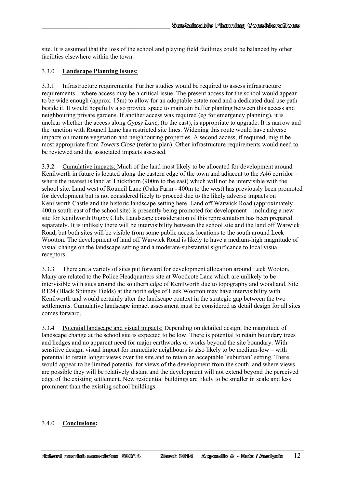site. It is assumed that the loss of the school and playing field facilities could be balanced by other facilities elsewhere within the town.

#### 3.3.0 **Landscape Planning Issues:**

 $\mathcal{L}_\text{max}$ 

3.3.1 Infrastructure requirements: Further studies would be required to assess infrastructure requirements – where access may be a critical issue. The present access for the school would appear to be wide enough (approx. 15m) to allow for an adoptable estate road and a dedicated dual use path beside it. It would hopefully also provide space to maintain buffer planting between this access and neighbouring private gardens. If another access was required (eg for emergency planning), it is unclear whether the access along *Gypsy Lane,* (to the east), is appropriate to upgrade. It is narrow and the junction with Rouncil Lane has restricted site lines. Widening this route would have adverse impacts on mature vegetation and neighbouring properties. A second access, if required, might be most appropriate from *Towers Close* (refer to plan). Other infrastructure requirements would need to be reviewed and the associated impacts assessed.

3.3.2 Cumulative impacts: Much of the land most likely to be allocated for development around Kenilworth in future is located along the eastern edge of the town and adjacent to the A46 corridor – where the nearest is land at Thickthorn (900m to the east) which will not be intervisible with the school site. Land west of Rouncil Lane (Oaks Farm - 400m to the west) has previously been promoted for development but is not considered likely to proceed due to the likely adverse impacts on Kenilworth Castle and the historic landscape setting here. Land off Warwick Road (approximately 400m south-east of the school site) is presently being promoted for development – including a new site for Kenilworth Rugby Club. Landscape consideration of this representation has been prepared separately. It is unlikely there will be intervisibility between the school site and the land off Warwick Road, but both sites will be visible from some public access locations to the south around Leek Wootton. The development of land off Warwick Road is likely to have a medium-high magnitude of visual change on the landscape setting and a moderate-substantial significance to local visual receptors.

3.3.3 There are a variety of sites put forward for development allocation around Leek Wooton. Many are related to the Police Headquarters site at Woodcote Lane which are unlikely to be intervisible with sites around the southern edge of Kenilworth due to topography and woodland. Site R124 (Black Spinney Fields) at the north edge of Leek Wootton may have intervisibility with Kenilworth and would certainly alter the landscape context in the strategic gap between the two settlements. Cumulative landscape impact assessment must be considered as detail design for all sites comes forward.

3.3.4 Potential landscape and visual impacts: Depending on detailed design, the magnitude of landscape change at the school site is expected to be low. There is potential to retain boundary trees and hedges and no apparent need for major earthworks or works beyond the site boundary. With sensitive design, visual impact for immediate neighbours is also likely to be medium-low – with potential to retain longer views over the site and to retain an acceptable 'suburban' setting. There would appear to be limited potential for views of the development from the south, and where views are possible they will be relatively distant and the development will not extend beyond the perceived edge of the existing settlement. New residential buildings are likely to be smaller in scale and less prominent than the existing school buildings.

#### 3.4.0 **Conclusions:**